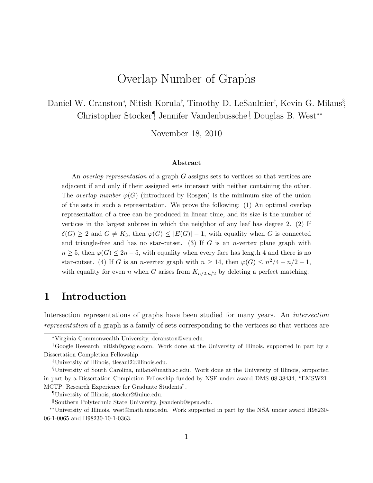# Overlap Number of Graphs

Daniel W. Cranston<sup>\*</sup>, Nitish Korula<sup>†</sup>, Timothy D. LeSaulnier<sup>‡</sup>, Kevin G. Milans<sup>§</sup>, Christopher Stocker, Jennifer Vandenbussche, Douglas B. West<sup>∗∗</sup>

November 18, 2010

#### Abstract

An overlap representation of a graph G assigns sets to vertices so that vertices are adjacent if and only if their assigned sets intersect with neither containing the other. The *overlap number*  $\varphi(G)$  (introduced by Rosgen) is the minimum size of the union of the sets in such a representation. We prove the following: (1) An optimal overlap representation of a tree can be produced in linear time, and its size is the number of vertices in the largest subtree in which the neighbor of any leaf has degree 2. (2) If  $\delta(G) \geq 2$  and  $G \neq K_3$ , then  $\varphi(G) \leq |E(G)| - 1$ , with equality when G is connected and triangle-free and has no star-cutset. (3) If G is an *n*-vertex plane graph with  $n \geq 5$ , then  $\varphi(G) \leq 2n-5$ , with equality when every face has length 4 and there is no star-cutset. (4) If G is an *n*-vertex graph with  $n \geq 14$ , then  $\varphi(G) \leq n^2/4 - n/2 - 1$ , with equality for even n when G arises from  $K_{n/2,n/2}$  by deleting a perfect matching.

## 1 Introduction

Intersection representations of graphs have been studied for many years. An *intersection representation* of a graph is a family of sets corresponding to the vertices so that vertices are

<sup>∗</sup>Virginia Commonwealth University, dcranston@vcu.edu.

<sup>†</sup>Google Research, nitish@google.com. Work done at the University of Illinois, supported in part by a Dissertation Completion Fellowship.

<sup>‡</sup>University of Illinois, tlesaul2@illinois.edu.

<sup>§</sup>University of South Carolina, milans@math.sc.edu. Work done at the University of Illinois, supported in part by a Dissertation Completion Fellowship funded by NSF under award DMS 08-38434, "EMSW21- MCTP: Research Experience for Graduate Students".

<sup>¶</sup>University of Illinois, stocker2@uiuc.edu.

<sup>k</sup>Southern Polytechnic State University, jvandenb@spsu.edu.

<sup>∗∗</sup>University of Illinois, west@math.uiuc.edu. Work supported in part by the NSA under award H98230- 06-1-0065 and H98230-10-1-0363.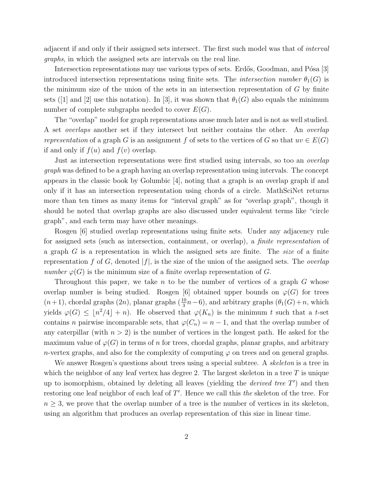adjacent if and only if their assigned sets intersect. The first such model was that of *interval graphs*, in which the assigned sets are intervals on the real line.

Intersection representations may use various types of sets. Erdős, Goodman, and Pósa [3] introduced intersection representations using finite sets. The *intersection number*  $\theta_1(G)$  is the minimum size of the union of the sets in an intersection representation of G by finite sets ([1] and [2] use this notation). In [3], it was shown that  $\theta_1(G)$  also equals the minimum number of complete subgraphs needed to cover  $E(G)$ .

The "overlap" model for graph representations arose much later and is not as well studied. A set *overlaps* another set if they intersect but neither contains the other. An *overlap representation* of a graph G is an assignment f of sets to the vertices of G so that  $uv \in E(G)$ if and only if  $f(u)$  and  $f(v)$  overlap.

Just as intersection representations were first studied using intervals, so too an *overlap graph* was defined to be a graph having an overlap representation using intervals. The concept appears in the classic book by Golumbic [4], noting that a graph is an overlap graph if and only if it has an intersection representation using chords of a circle. MathSciNet returns more than ten times as many items for "interval graph" as for "overlap graph", though it should be noted that overlap graphs are also discussed under equivalent terms like "circle graph", and each term may have other meanings.

Rosgen [6] studied overlap representations using finite sets. Under any adjacency rule for assigned sets (such as intersection, containment, or overlap), a *finite representation* of a graph G is a representation in which the assigned sets are finite. The *size* of a finite representation f of G, denoted |f|, is the size of the union of the assigned sets. The *overlap number*  $\varphi(G)$  is the minimum size of a finite overlap representation of G.

Throughout this paper, we take n to be the number of vertices of a graph  $G$  whose overlap number is being studied. Rosgen [6] obtained upper bounds on  $\varphi(G)$  for trees  $(n+1)$ , chordal graphs  $(2n)$ , planar graphs  $(\frac{10}{3}n-6)$ , and arbitrary graphs  $(\theta_1(G)+n)$ , which yields  $\varphi(G) \leq \lfloor n^2/4 \rfloor + n$ ). He observed that  $\varphi(K_n)$  is the minimum t such that a t-set contains *n* pairwise incomparable sets, that  $\varphi(C_n) = n - 1$ , and that the overlap number of any caterpillar (with  $n > 2$ ) is the number of vertices in the longest path. He asked for the maximum value of  $\varphi(G)$  in terms of n for trees, chordal graphs, planar graphs, and arbitrary n-vertex graphs, and also for the complexity of computing  $\varphi$  on trees and on general graphs.

We answer Rosgen's questions about trees using a special subtree. A *skeleton* is a tree in which the neighbor of any leaf vertex has degree 2. The largest skeleton in a tree  $T$  is unique up to isomorphism, obtained by deleting all leaves (yielding the *derived tree* T ′ ) and then restoring one leaf neighbor of each leaf of  $T'$ . Hence we call this *the* skeleton of the tree. For  $n \geq 3$ , we prove that the overlap number of a tree is the number of vertices in its skeleton, using an algorithm that produces an overlap representation of this size in linear time.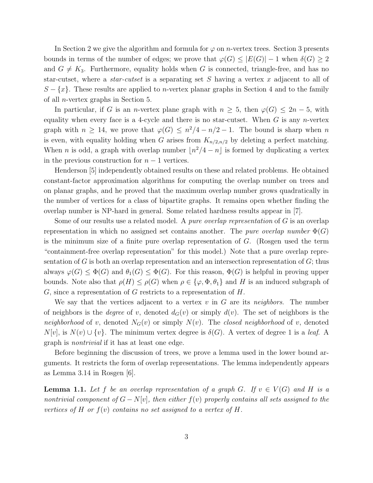In Section 2 we give the algorithm and formula for  $\varphi$  on *n*-vertex trees. Section 3 presents bounds in terms of the number of edges; we prove that  $\varphi(G) \leq |E(G)| - 1$  when  $\delta(G) \geq 2$ and  $G \neq K_3$ . Furthermore, equality holds when G is connected, triangle-free, and has no star-cutset, where a *star-cutset* is a separating set S having a vertex x adjacent to all of  $S - \{x\}$ . These results are applied to *n*-vertex planar graphs in Section 4 and to the family of all n-vertex graphs in Section 5.

In particular, if G is an n-vertex plane graph with  $n \geq 5$ , then  $\varphi(G) \leq 2n-5$ , with equality when every face is a 4-cycle and there is no star-cutset. When  $G$  is any *n*-vertex graph with  $n \geq 14$ , we prove that  $\varphi(G) \leq n^2/4 - n/2 - 1$ . The bound is sharp when n is even, with equality holding when G arises from  $K_{n/2,n/2}$  by deleting a perfect matching. When *n* is odd, a graph with overlap number  $\lfloor n^2/4 - n \rfloor$  is formed by duplicating a vertex in the previous construction for  $n-1$  vertices.

Henderson [5] independently obtained results on these and related problems. He obtained constant-factor approximation algorithms for computing the overlap number on trees and on planar graphs, and he proved that the maximum overlap number grows quadratically in the number of vertices for a class of bipartite graphs. It remains open whether finding the overlap number is NP-hard in general. Some related hardness results appear in [7].

Some of our results use a related model. A *pure overlap representation* of G is an overlap representation in which no assigned set contains another. The *pure overlap number*  $\Phi(G)$ is the minimum size of a finite pure overlap representation of  $G$ . (Rosgen used the term "containment-free overlap representation" for this model.) Note that a pure overlap representation of  $G$  is both an overlap representation and an intersection representation of  $G$ ; thus always  $\varphi(G) \leq \Phi(G)$  and  $\theta_1(G) \leq \Phi(G)$ . For this reason,  $\Phi(G)$  is helpful in proving upper bounds. Note also that  $\rho(H) \leq \rho(G)$  when  $\rho \in {\varphi, \Phi, \theta_1}$  and H is an induced subgraph of  $G$ , since a representation of  $G$  restricts to a representation of  $H$ .

We say that the vertices adjacent to a vertex v in G are its *neighbors*. The number of neighbors is the *degree* of v, denoted  $d_G(v)$  or simply  $d(v)$ . The set of neighbors is the *neighborhood* of v, denoted  $N_G(v)$  or simply  $N(v)$ . The *closed neighborhood* of v, denoted  $N[v]$ , is  $N(v) \cup \{v\}$ . The minimum vertex degree is  $\delta(G)$ . A vertex of degree 1 is a *leaf*. A graph is *nontrivial* if it has at least one edge.

Before beginning the discussion of trees, we prove a lemma used in the lower bound arguments. It restricts the form of overlap representations. The lemma independently appears as Lemma 3.14 in Rosgen [6].

**Lemma 1.1.** Let f be an overlap representation of a graph G. If  $v \in V(G)$  and H is a *nontrivial component of*  $G - N[v]$ *, then either*  $f(v)$  *properly contains all sets assigned to the vertices of*  $H$  *or*  $f(v)$  *contains no set assigned to a vertex of*  $H$ *.*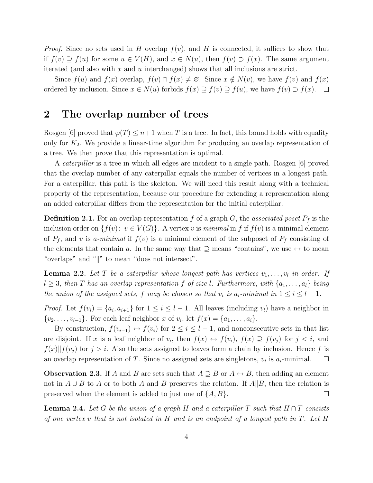*Proof.* Since no sets used in H overlap  $f(v)$ , and H is connected, it suffices to show that if  $f(v) \supseteq f(u)$  for some  $u \in V(H)$ , and  $x \in N(u)$ , then  $f(v) \supseteq f(x)$ . The same argument iterated (and also with x and u interchanged) shows that all inclusions are strict.

Since  $f(u)$  and  $f(x)$  overlap,  $f(v) \cap f(x) \neq \emptyset$ . Since  $x \notin N(v)$ , we have  $f(v)$  and  $f(x)$ ordered by inclusion. Since  $x \in N(u)$  forbids  $f(x) \supseteq f(v) \supseteq f(u)$ , we have  $f(v) \supseteq f(x)$ .  $\Box$ 

### 2 The overlap number of trees

Rosgen [6] proved that  $\varphi(T) \leq n+1$  when T is a tree. In fact, this bound holds with equality only for  $K_2$ . We provide a linear-time algorithm for producing an overlap representation of a tree. We then prove that this representation is optimal.

A *caterpillar* is a tree in which all edges are incident to a single path. Rosgen [6] proved that the overlap number of any caterpillar equals the number of vertices in a longest path. For a caterpillar, this path is the skeleton. We will need this result along with a technical property of the representation, because our procedure for extending a representation along an added caterpillar differs from the representation for the initial caterpillar.

**Definition 2.1.** For an overlap representation f of a graph G, the *associated poset*  $P_f$  is the inclusion order on  $\{f(v): v \in V(G)\}$ . A vertex v is *minimal* in f if  $f(v)$  is a minimal element of  $P_f$ , and v is a-minimal if  $f(v)$  is a minimal element of the subposet of  $P_f$  consisting of the elements that contain a. In the same way that  $\supseteq$  means "contains", we use  $\leftrightarrow$  to mean "overlaps" and " $\parallel$ " to mean "does not intersect".

**Lemma 2.2.** Let T be a caterpillar whose longest path has vertices  $v_1, \ldots, v_l$  in order. If  $l \geq 3$ , then T has an overlap representation f of size l. Furthermore, with  $\{a_1, \ldots, a_l\}$  being *the union of the assigned sets,* f *may be chosen so that*  $v_i$  *is*  $a_i$ -*minimal in*  $1 \leq i \leq l-1$ *.* 

*Proof.* Let  $f(v_i) = \{a_i, a_{i+1}\}\$  for  $1 \leq i \leq l-1$ . All leaves (including  $v_l$ ) have a neighbor in  $\{v_2, \ldots, v_{l-1}\}.$  For each leaf neighbor x of  $v_i$ , let  $f(x) = \{a_1, \ldots, a_i\}.$ 

By construction,  $f(v_{i-1}) \leftrightarrow f(v_i)$  for  $2 \leq i \leq l-1$ , and nonconsecutive sets in that list are disjoint. If x is a leaf neighbor of  $v_i$ , then  $f(x) \leftrightarrow f(v_i)$ ,  $f(x) \supseteq f(v_j)$  for  $j < i$ , and  $f(x)$   $\|f(v_i)$  for  $j > i$ . Also the sets assigned to leaves form a chain by inclusion. Hence f is an overlap representation of T. Since no assigned sets are singletons,  $v_i$  is  $a_i$ -minimal.  $\Box$ 

**Observation 2.3.** If A and B are sets such that  $A \supseteq B$  or  $A \leftrightarrow B$ , then adding an element not in  $A \cup B$  to A or to both A and B preserves the relation. If  $A||B$ , then the relation is preserved when the element is added to just one of  $\{A, B\}$ .  $\Box$ 

**Lemma 2.4.** Let G be the union of a graph H and a caterpillar T such that  $H \cap T$  consists *of one vertex* v *that is not isolated in* H *and is an endpoint of a longest path in* T*. Let* H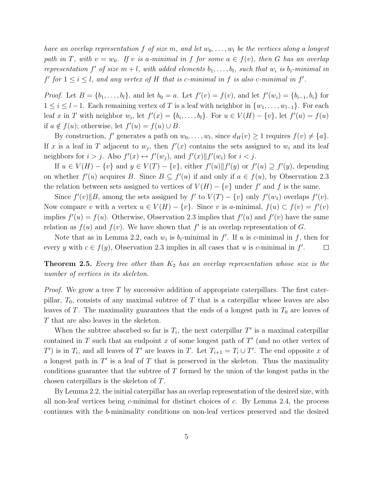*have an overlap representation* f *of size* m, and let  $w_0, \ldots, w_l$  be the vertices along a longest *path in* T, with  $v = w_0$ . If v is a-minimal in f for some  $a \in f(v)$ , then G has an overlap *representation*  $f'$  *of size*  $m + l$ *, with added elements*  $b_1, \ldots, b_l$ *, such that*  $w_i$  *is*  $b_i$ *-minimal in*  $f'$  for  $1 \leq i \leq l$ , and any vertex of H that is c-minimal in f is also c-minimal in f'.

*Proof.* Let  $B = \{b_1, ..., b_l\}$ , and let  $b_0 = a$ . Let  $f'(v) = f(v)$ , and let  $f'(w_i) = \{b_{i-1}, b_i\}$  for  $1 \leq i \leq l-1$ . Each remaining vertex of T is a leaf with neighbor in  $\{w_1, \ldots, w_{l-1}\}$ . For each leaf x in T with neighbor  $w_i$ , let  $f'(x) = \{b_i, \ldots, b_l\}$ . For  $u \in V(H) - \{v\}$ , let  $f'(u) = f(u)$ if  $a \notin f(u)$ ; otherwise, let  $f'(u) = f(u) \cup B$ .

By construction, f' generates a path on  $w_0, \ldots, w_l$ , since  $d_H(v) \geq 1$  requires  $f(v) \neq \{a\}$ . If x is a leaf in T adjacent to  $w_j$ , then  $f'(x)$  contains the sets assigned to  $w_i$  and its leaf neighbors for  $i > j$ . Also  $f'(x) \leftrightarrow f'(w_j)$ , and  $f'(x) || f'(w_i)$  for  $i < j$ .

If  $u \in V(H) - \{v\}$  and  $y \in V(T) - \{v\}$ , either  $f'(u) || f'(y)$  or  $f'(u) \supseteq f'(y)$ , depending on whether  $f'(u)$  acquires B. Since  $B \subseteq f'(u)$  if and only if  $a \in f(u)$ , by Observation 2.3 the relation between sets assigned to vertices of  $V(H) - \{v\}$  under f' and f is the same.

Since  $f'(v)$  B, among the sets assigned by  $f'$  to  $V(T) - \{v\}$  only  $f'(w_1)$  overlaps  $f'(v)$ . Now compare v with a vertex  $u \in V(H) - \{v\}$ . Since v is a-minimal,  $f(u) \subset f(v) = f'(v)$ implies  $f'(u) = f(u)$ . Otherwise, Observation 2.3 implies that  $f'(u)$  and  $f'(v)$  have the same relation as  $f(u)$  and  $f(v)$ . We have shown that  $f'$  is an overlap representation of G.

Note that as in Lemma 2.2, each  $w_i$  is  $b_i$ -minimal in f'. If u is c-minimal in f, then for every y with  $c \in f(y)$ , Observation 2.3 implies in all cases that u is c-minimal in f'.  $\Box$ 

**Theorem 2.5.** *Every tree other than*  $K_2$  *has an overlap representation whose size is the number of vertices in its skeleton.*

*Proof.* We grow a tree T by successive addition of appropriate caterpillars. The first caterpillar,  $T_0$ , consists of any maximal subtree of T that is a caterpillar whose leaves are also leaves of T. The maximality guarantees that the ends of a longest path in  $T_0$  are leaves of T that are also leaves in the skeleton.

When the subtree absorbed so far is  $T_i$ , the next caterpillar  $T'$  is a maximal caterpillar contained in T such that an endpoint x of some longest path of  $T'$  (and no other vertex of T') is in  $T_i$ , and all leaves of T' are leaves in T. Let  $T_{i+1} = T_i \cup T'$ . The end opposite x of a longest path in  $T'$  is a leaf of  $T$  that is preserved in the skeleton. Thus the maximality conditions guarantee that the subtree of T formed by the union of the longest paths in the chosen caterpillars is the skeleton of T.

By Lemma 2.2, the initial caterpillar has an overlap representation of the desired size, with all non-leaf vertices being  $c$ -minimal for distinct choices of  $c$ . By Lemma 2.4, the process continues with the b-minimality conditions on non-leaf vertices preserved and the desired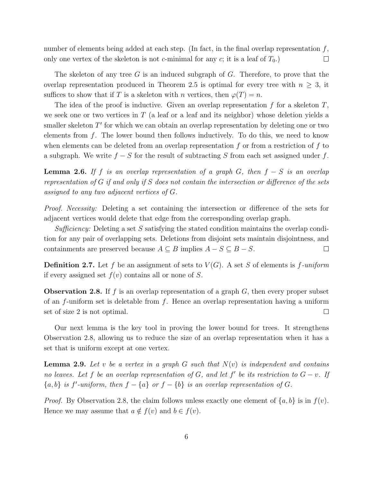number of elements being added at each step. (In fact, in the final overlap representation  $f$ , only one vertex of the skeleton is not c-minimal for any c; it is a leaf of  $T_0$ .)  $\Box$ 

The skeleton of any tree  $G$  is an induced subgraph of  $G$ . Therefore, to prove that the overlap representation produced in Theorem 2.5 is optimal for every tree with  $n > 3$ , it suffices to show that if T is a skeleton with n vertices, then  $\varphi(T) = n$ .

The idea of the proof is inductive. Given an overlap representation f for a skeleton  $T$ , we seek one or two vertices in  $T$  (a leaf or a leaf and its neighbor) whose deletion yields a smaller skeleton T' for which we can obtain an overlap representation by deleting one or two elements from  $f$ . The lower bound then follows inductively. To do this, we need to know when elements can be deleted from an overlap representation f or from a restriction of f to a subgraph. We write  $f - S$  for the result of subtracting S from each set assigned under f.

**Lemma 2.6.** If f is an overlap representation of a graph G, then  $f - S$  is an overlap *representation of* G *if and only if* S *does not contain the intersection or difference of the sets assigned to any two adjacent vertices of* G*.*

*Proof. Necessity:* Deleting a set containing the intersection or difference of the sets for adjacent vertices would delete that edge from the corresponding overlap graph.

*Sufficiency:* Deleting a set S satisfying the stated condition maintains the overlap condition for any pair of overlapping sets. Deletions from disjoint sets maintain disjointness, and containments are preserved because  $A \subseteq B$  implies  $A - S \subseteq B - S$ .  $\Box$ 

**Definition 2.7.** Let f be an assignment of sets to  $V(G)$ . A set S of elements is f-uniform if every assigned set  $f(v)$  contains all or none of S.

**Observation 2.8.** If f is an overlap representation of a graph  $G$ , then every proper subset of an  $f$ -uniform set is deletable from  $f$ . Hence an overlap representation having a uniform set of size 2 is not optimal.  $\Box$ 

Our next lemma is the key tool in proving the lower bound for trees. It strengthens Observation 2.8, allowing us to reduce the size of an overlap representation when it has a set that is uniform except at one vertex.

Lemma 2.9. *Let* v *be a vertex in a graph* G *such that* N(v) *is independent and contains no leaves. Let*  $f$  *be an overlap representation of*  $G$ *, and let*  $f'$  *be its restriction to*  $G - v$ *. If*  ${a,b}$  *is* f'-uniform, then  $f - {a}$  or  $f - {b}$  *is an overlap representation of* G.

*Proof.* By Observation 2.8, the claim follows unless exactly one element of  $\{a, b\}$  is in  $f(v)$ . Hence we may assume that  $a \notin f(v)$  and  $b \in f(v)$ .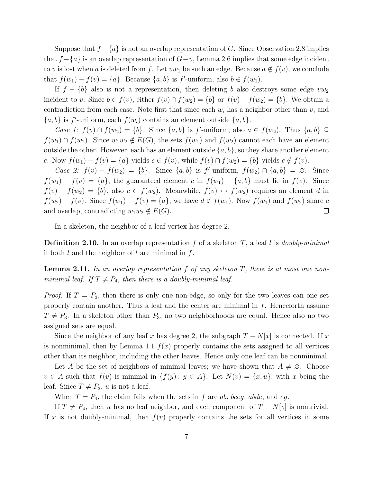Suppose that  $f - \{a\}$  is not an overlap representation of G. Since Observation 2.8 implies that  $f - \{a\}$  is an overlap representation of  $G - v$ , Lemma 2.6 implies that some edge incident to v is lost when a is deleted from f. Let  $vw_1$  be such an edge. Because  $a \notin f(v)$ , we conclude that  $f(w_1) - f(v) = \{a\}$ . Because  $\{a, b\}$  is  $f'$ -uniform, also  $b \in f(w_1)$ .

If  $f - \{b\}$  also is not a representation, then deleting b also destroys some edge  $vw_2$ incident to v. Since  $b \in f(v)$ , either  $f(v) \cap f(w_2) = \{b\}$  or  $f(v) - f(w_2) = \{b\}$ . We obtain a contradiction from each case. Note first that since each  $w_i$  has a neighbor other than  $v$ , and  ${a,b}$  is f'-uniform, each  $f(w_i)$  contains an element outside  ${a,b}.$ 

*Case 1:*  $f(v) \cap f(w_2) = \{b\}$ . Since  $\{a, b\}$  is  $f'$ -uniform, also  $a \in f(w_2)$ . Thus  $\{a, b\} \subseteq$  $f(w_1) \cap f(w_2)$ . Since  $w_1w_2 \notin E(G)$ , the sets  $f(w_1)$  and  $f(w_2)$  cannot each have an element outside the other. However, each has an element outside  $\{a,b\}$ , so they share another element c. Now  $f(w_1) - f(v) = \{a\}$  yields  $c \in f(v)$ , while  $f(v) \cap f(w_2) = \{b\}$  yields  $c \notin f(v)$ .

*Case 2:*  $f(v) - f(w_2) = \{b\}$ . Since  $\{a, b\}$  is  $f'$ -uniform,  $f(w_2) \cap \{a, b\} = \emptyset$ . Since  $f(w_1) - f(v) = \{a\}$ , the guaranteed element c in  $f(w_1) - \{a, b\}$  must lie in  $f(v)$ . Since  $f(v) - f(w_2) = \{b\}$ , also  $c \in f(w_2)$ . Meanwhile,  $f(v) \leftrightarrow f(w_2)$  requires an element d in  $f(w_2) - f(v)$ . Since  $f(w_1) - f(v) = \{a\}$ , we have  $d \notin f(w_1)$ . Now  $f(w_1)$  and  $f(w_2)$  share c and overlap, contradicting  $w_1w_2 \notin E(G)$ .  $\Box$ 

In a skeleton, the neighbor of a leaf vertex has degree 2.

Definition 2.10. In an overlap representation f of a skeleton T, a leaf l is *doubly-minimal* if both  $l$  and the neighbor of  $l$  are minimal in  $f$ .

Lemma 2.11. *In an overlap representation* f *of any skeleton* T*, there is at most one nonminimal leaf.* If  $T \neq P_4$ , then there is a doubly-minimal leaf.

*Proof.* If  $T = P_3$ , then there is only one non-edge, so only for the two leaves can one set properly contain another. Thus a leaf and the center are minimal in  $f$ . Henceforth assume  $T \neq P_3$ . In a skeleton other than  $P_3$ , no two neighborhoods are equal. Hence also no two assigned sets are equal.

Since the neighbor of any leaf x has degree 2, the subgraph  $T - N[x]$  is connected. If x is nonminimal, then by Lemma 1.1  $f(x)$  properly contains the sets assigned to all vertices other than its neighbor, including the other leaves. Hence only one leaf can be nonminimal.

Let A be the set of neighbors of minimal leaves; we have shown that  $A \neq \emptyset$ . Choose  $v \in A$  such that  $f(v)$  is minimal in  $\{f(y): y \in A\}$ . Let  $N(v) = \{x, u\}$ , with x being the leaf. Since  $T \neq P_3$ , u is not a leaf.

When  $T = P_4$ , the claim fails when the sets in f are ab, bceg, abde, and eg.

If  $T \neq P_4$ , then u has no leaf neighbor, and each component of  $T - N[v]$  is nontrivial. If x is not doubly-minimal, then  $f(v)$  properly contains the sets for all vertices in some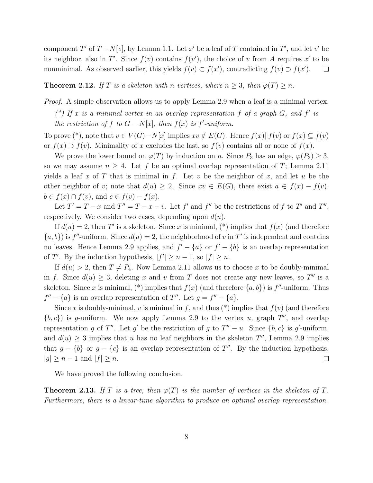component T' of  $T - N[v]$ , by Lemma 1.1. Let x' be a leaf of T contained in T', and let v' be its neighbor, also in T'. Since  $f(v)$  contains  $f(v')$ , the choice of v from A requires x' to be nonminimal. As observed earlier, this yields  $f(v) \subset f(x')$ , contradicting  $f(v) \supset f(x')$ .  $\Box$ 

**Theorem 2.12.** *If* T *is a skeleton with* n *vertices, where*  $n \geq 3$ *, then*  $\varphi(T) \geq n$ *.* 

*Proof.* A simple observation allows us to apply Lemma 2.9 when a leaf is a minimal vertex.

 $(*)$  If x is a minimal vertex in an overlap representation f of a graph  $G$ , and  $f'$  is *the restriction of* f *to*  $G - N[x]$ *, then*  $f(x)$  *is* f'-uniform.

To prove (\*), note that  $v \in V(G) - N[x]$  implies  $xv \notin E(G)$ . Hence  $f(x)||f(v)$  or  $f(x) \subseteq f(v)$ or  $f(x) \supset f(v)$ . Minimality of x excludes the last, so  $f(v)$  contains all or none of  $f(x)$ .

We prove the lower bound on  $\varphi(T)$  by induction on n. Since  $P_3$  has an edge,  $\varphi(P_3) \geq 3$ , so we may assume  $n \geq 4$ . Let f be an optimal overlap representation of T; Lemma 2.11 yields a leaf x of T that is minimal in f. Let v be the neighbor of x, and let u be the other neighbor of v; note that  $d(u) \geq 2$ . Since  $xv \in E(G)$ , there exist  $a \in f(x) - f(v)$ ,  $b \in f(x) \cap f(v)$ , and  $c \in f(v) - f(x)$ .

Let  $T' = T - x$  and  $T'' = T - x - v$ . Let f' and f'' be the restrictions of f to T' and T'', respectively. We consider two cases, depending upon  $d(u)$ .

If  $d(u) = 2$ , then T' is a skeleton. Since x is minimal, (\*) implies that  $f(x)$  (and therefore  $\{a, b\}$ ) is f''-uniform. Since  $d(u) = 2$ , the neighborhood of v in T' is independent and contains no leaves. Hence Lemma 2.9 applies, and  $f' - \{a\}$  or  $f' - \{b\}$  is an overlap representation of T'. By the induction hypothesis,  $|f'| \ge n - 1$ , so  $|f| \ge n$ .

If  $d(u) > 2$ , then  $T \neq P_4$ . Now Lemma 2.11 allows us to choose x to be doubly-minimal in f. Since  $d(u) \geq 3$ , deleting x and v from T does not create any new leaves, so T'' is a skeleton. Since x is minimal, (\*) implies that  $f(x)$  (and therefore  $\{a, b\}$ ) is  $f''$ -uniform. Thus  $f'' - \{a\}$  is an overlap representation of T''. Let  $g = f'' - \{a\}$ .

Since x is doubly-minimal, v is minimal in f, and thus  $(*)$  implies that  $f(v)$  (and therefore  ${b, c}$ ) is g-uniform. We now apply Lemma 2.9 to the vertex u, graph  $T''$ , and overlap representation g of T''. Let g' be the restriction of g to  $T'' - u$ . Since  $\{b, c\}$  is g'-uniform, and  $d(u) \geq 3$  implies that u has no leaf neighbors in the skeleton  $T''$ , Lemma 2.9 implies that  $g - \{b\}$  or  $g - \{c\}$  is an overlap representation of T''. By the induction hypothesis,  $|g| \geq n-1$  and  $|f| \geq n$ .  $\Box$ 

We have proved the following conclusion.

**Theorem 2.13.** If T is a tree, then  $\varphi(T)$  is the number of vertices in the skeleton of T. *Furthermore, there is a linear-time algorithm to produce an optimal overlap representation.*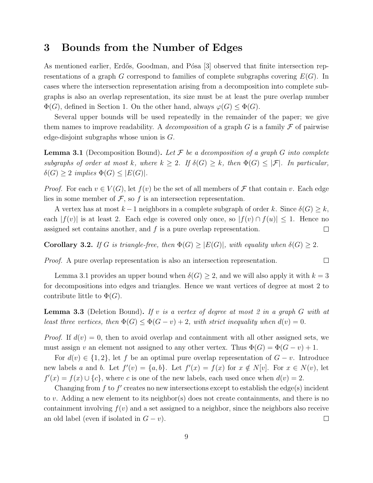### 3 Bounds from the Number of Edges

As mentioned earlier, Erdős, Goodman, and Pósa [3] observed that finite intersection representations of a graph G correspond to families of complete subgraphs covering  $E(G)$ . In cases where the intersection representation arising from a decomposition into complete subgraphs is also an overlap representation, its size must be at least the pure overlap number  $\Phi(G)$ , defined in Section 1. On the other hand, always  $\varphi(G) \leq \Phi(G)$ .

Several upper bounds will be used repeatedly in the remainder of the paper; we give them names to improve readability. A *decomposition* of a graph G is a family  $\mathcal F$  of pairwise edge-disjoint subgraphs whose union is G.

Lemma 3.1 (Decomposition Bound). *Let* F *be a decomposition of a graph* G *into complete subgraphs of order at most* k, where  $k \geq 2$ . If  $\delta(G) \geq k$ , then  $\Phi(G) \leq |\mathcal{F}|$ . In particular,  $\delta(G) \geq 2$  *implies*  $\Phi(G) \leq |E(G)|$ *.* 

*Proof.* For each  $v \in V(G)$ , let  $f(v)$  be the set of all members of  $\mathcal F$  that contain v. Each edge lies in some member of  $\mathcal F$ , so  $f$  is an intersection representation.

A vertex has at most  $k-1$  neighbors in a complete subgraph of order k. Since  $\delta(G) \geq k$ , each  $|f(v)|$  is at least 2. Each edge is covered only once, so  $|f(v) \cap f(u)| \leq 1$ . Hence no assigned set contains another, and  $f$  is a pure overlap representation.  $\Box$ 

**Corollary 3.2.** *If* G *is triangle-free, then*  $\Phi(G) > |E(G)|$ *, with equality when*  $\delta(G) > 2$ *.* 

*Proof.* A pure overlap representation is also an intersection representation.

Lemma 3.1 provides an upper bound when  $\delta(G) \geq 2$ , and we will also apply it with  $k = 3$ for decompositions into edges and triangles. Hence we want vertices of degree at most 2 to contribute little to  $\Phi(G)$ .

 $\Box$ 

Lemma 3.3 (Deletion Bound). *If* v *is a vertex of degree at most 2 in a graph* G *with at least three vertices, then*  $\Phi(G) \leq \Phi(G - v) + 2$ *, with strict inequality when*  $d(v) = 0$ *.* 

*Proof.* If  $d(v) = 0$ , then to avoid overlap and containment with all other assigned sets, we must assign v an element not assigned to any other vertex. Thus  $\Phi(G) = \Phi(G - v) + 1$ .

For  $d(v) \in \{1,2\}$ , let f be an optimal pure overlap representation of  $G - v$ . Introduce new labels a and b. Let  $f'(v) = \{a, b\}$ . Let  $f'(x) = f(x)$  for  $x \notin N[v]$ . For  $x \in N(v)$ , let  $f'(x) = f(x) \cup \{c\}$ , where c is one of the new labels, each used once when  $d(v) = 2$ .

Changing from  $f$  to  $f'$  creates no new intersections except to establish the edge(s) incident to v. Adding a new element to its neighbor(s) does not create containments, and there is no containment involving  $f(v)$  and a set assigned to a neighbor, since the neighbors also receive an old label (even if isolated in  $G - v$ ).  $\Box$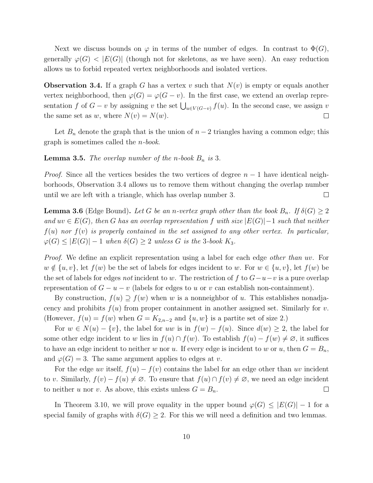Next we discuss bounds on  $\varphi$  in terms of the number of edges. In contrast to  $\Phi(G)$ , generally  $\varphi(G)$  <  $|E(G)|$  (though not for skeletons, as we have seen). An easy reduction allows us to forbid repeated vertex neighborhoods and isolated vertices.

**Observation 3.4.** If a graph G has a vertex v such that  $N(v)$  is empty or equals another vertex neighborhood, then  $\varphi(G) = \varphi(G - v)$ . In the first case, we extend an overlap representation f of  $G - v$  by assigning v the set  $\bigcup_{u \in V(G-v)} f(u)$ . In the second case, we assign v the same set as w, where  $N(v) = N(w)$ .  $\Box$ 

Let  $B_n$  denote the graph that is the union of  $n-2$  triangles having a common edge; this graph is sometimes called the n*-book*.

**Lemma 3.5.** *The overlap number of the n-book*  $B_n$  *is* 3*.* 

*Proof.* Since all the vertices besides the two vertices of degree  $n - 1$  have identical neighborhoods, Observation 3.4 allows us to remove them without changing the overlap number until we are left with a triangle, which has overlap number 3.  $\Box$ 

**Lemma 3.6** (Edge Bound). Let G be an n-vertex graph other than the book  $B_n$ . If  $\delta(G) \geq 2$ *and* uv ∈ E(G)*, then* G *has an overlap representation* f *with size* |E(G)|−1 *such that neither*  $f(u)$  *nor*  $f(v)$  *is properly contained in the set assigned to any other vertex. In particular,*  $\varphi(G) \leq |E(G)| - 1$  when  $\delta(G) \geq 2$  unless G is the 3*-book* K<sub>3</sub>.

*Proof.* We define an explicit representation using a label for each edge *other than* uv. For  $w \notin \{u,v\}$ , let  $f(w)$  be the set of labels for edges incident to w. For  $w \in \{u,v\}$ , let  $f(w)$  be the set of labels for edges *not* incident to w. The restriction of f to  $G-u-v$  is a pure overlap representation of  $G - u - v$  (labels for edges to u or v can establish non-containment).

By construction,  $f(u) \supseteq f(w)$  when w is a nonneighbor of u. This establishes nonadjacency and prohibits  $f(u)$  from proper containment in another assigned set. Similarly for v. (However,  $f(u) = f(w)$  when  $G = K_{2,n-2}$  and  $\{u, w\}$  is a partite set of size 2.)

For  $w \in N(u) - \{v\}$ , the label for uw is in  $f(w) - f(u)$ . Since  $d(w) \geq 2$ , the label for some other edge incident to w lies in  $f(u) \cap f(w)$ . To establish  $f(u) - f(w) \neq \emptyset$ , it suffices to have an edge incident to neither w nor u. If every edge is incident to w or u, then  $G = B_n$ , and  $\varphi(G) = 3$ . The same argument applies to edges at v.

For the edge uv itself,  $f(u) - f(v)$  contains the label for an edge other than uv incident to v. Similarly,  $f(v) - f(u) \neq \emptyset$ . To ensure that  $f(u) \cap f(v) \neq \emptyset$ , we need an edge incident to neither u nor v. As above, this exists unless  $G = B_n$ .  $\Box$ 

In Theorem 3.10, we will prove equality in the upper bound  $\varphi(G) \leq |E(G)| - 1$  for a special family of graphs with  $\delta(G) \geq 2$ . For this we will need a definition and two lemmas.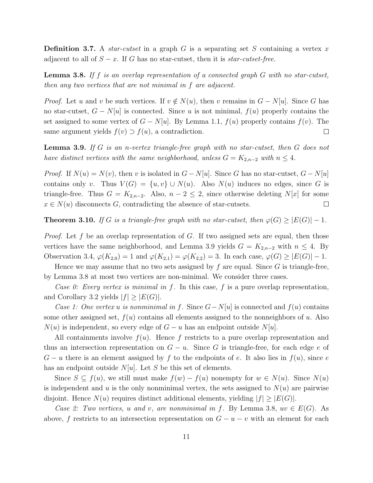Definition 3.7. A *star-cutset* in a graph G is a separating set S containing a vertex x adjacent to all of  $S - x$ . If G has no star-cutset, then it is *star-cutset-free*.

Lemma 3.8. *If* f *is an overlap representation of a connected graph* G *with no star-cutset, then any two vertices that are not minimal in* f *are adjacent.*

*Proof.* Let u and v be such vertices. If  $v \notin N(u)$ , then v remains in  $G - N[u]$ . Since G has no star-cutset,  $G - N[u]$  is connected. Since u is not minimal,  $f(u)$  properly contains the set assigned to some vertex of  $G - N[u]$ . By Lemma 1.1,  $f(u)$  properly contains  $f(v)$ . The same argument yields  $f(v) \supset f(u)$ , a contradiction.  $\Box$ 

Lemma 3.9. *If* G *is an* n*-vertex triangle-free graph with no star-cutset, then* G *does not have distinct vertices with the same neighborhood, unless*  $G = K_{2,n-2}$  *with*  $n \leq 4$ *.* 

*Proof.* If  $N(u) = N(v)$ , then v is isolated in  $G - N[u]$ . Since G has no star-cutset,  $G - N[u]$ contains only v. Thus  $V(G) = \{u, v\} \cup N(u)$ . Also  $N(u)$  induces no edges, since G is triangle-free. Thus  $G = K_{2,n-2}$ . Also,  $n-2 \leq 2$ , since otherwise deleting N[x] for some  $x \in N(u)$  disconnects G, contradicting the absence of star-cutsets.  $\Box$ 

**Theorem 3.10.** *If* G *is a triangle-free graph with no star-cutset, then*  $\varphi(G) \geq |E(G)| - 1$ *.* 

*Proof.* Let f be an overlap representation of G. If two assigned sets are equal, then those vertices have the same neighborhood, and Lemma 3.9 yields  $G = K_{2,n-2}$  with  $n \leq 4$ . By Observation 3.4,  $\varphi(K_{2,0}) = 1$  and  $\varphi(K_{2,1}) = \varphi(K_{2,2}) = 3$ . In each case,  $\varphi(G) \ge |E(G)| - 1$ .

Hence we may assume that no two sets assigned by  $f$  are equal. Since  $G$  is triangle-free, by Lemma 3.8 at most two vertices are non-minimal. We consider three cases.

*Case 0: Every vertex is minimal in f.* In this case, f is a pure overlap representation, and Corollary 3.2 yields  $|f| \geq |E(G)|$ .

*Case 1: One vertex* u *is nonminimal in* f. Since  $G-N[u]$  is connected and  $f(u)$  contains some other assigned set,  $f(u)$  contains all elements assigned to the nonneighbors of u. Also  $N(u)$  is independent, so every edge of  $G - u$  has an endpoint outside  $N[u]$ .

All containments involve  $f(u)$ . Hence f restricts to a pure overlap representation and thus an intersection representation on  $G - u$ . Since G is triangle-free, for each edge e of  $G - u$  there is an element assigned by f to the endpoints of e. It also lies in  $f(u)$ , since e has an endpoint outside  $N[u]$ . Let S be this set of elements.

Since  $S \subseteq f(u)$ , we still must make  $f(w) - f(u)$  nonempty for  $w \in N(u)$ . Since  $N(u)$ is independent and u is the only nonminimal vertex, the sets assigned to  $N(u)$  are pairwise disjoint. Hence  $N(u)$  requires distinct additional elements, yielding  $|f| \geq |E(G)|$ .

*Case 2: Two vertices, u and v, are nonminimal in f.* By Lemma 3.8,  $uv \in E(G)$ . As above, f restricts to an intersection representation on  $G - u - v$  with an element for each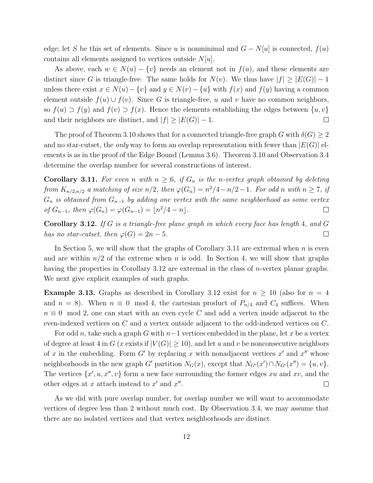edge; let S be this set of elements. Since u is nonminimal and  $G - N[u]$  is connected,  $f(u)$ contains all elements assigned to vertices outside  $N[u]$ .

As above, each  $w \in N(u) - \{v\}$  needs an element not in  $f(u)$ , and these elements are distinct since G is triangle-free. The same holds for  $N(v)$ . We thus have  $|f| \geq |E(G)| - 1$ unless there exist  $x \in N(u) - \{v\}$  and  $y \in N(v) - \{u\}$  with  $f(x)$  and  $f(y)$  having a common element outside  $f(u) \cup f(v)$ . Since G is triangle-free, u and v have no common neighbors, so  $f(u) \supset f(y)$  and  $f(v) \supset f(x)$ . Hence the elements establishing the edges between  $\{u, v\}$ and their neighbors are distinct, and  $|f| \geq |E(G)| - 1$ .  $\Box$ 

The proof of Theorem 3.10 shows that for a connected triangle-free graph G with  $\delta(G) \geq 2$ and no star-cutset, the *only* way to form an overlap representation with fewer than  $|E(G)|$  elements is as in the proof of the Edge Bound (Lemma 3.6). Theorem 3.10 and Observation 3.4 determine the overlap number for several constructions of interest.

**Corollary 3.11.** For even n with  $n \geq 6$ , if  $G_n$  is the n-vertex graph obtained by deleting *from*  $K_{n/2,n/2}$  *a* matching of size  $n/2$ , then  $\varphi(G_n) = n^2/4 - n/2 - 1$ . For odd n with  $n \geq 7$ , if G<sup>n</sup> *is obtained from* Gn−<sup>1</sup> *by adding one vertex with the same neighborhood as some vertex of*  $G_{n-1}$ *, then*  $\varphi(G_n) = \varphi(G_{n-1}) = \lfloor n^2/4 - n \rfloor$ *.*  $\Box$ 

Corollary 3.12. *If* G *is a triangle-free plane graph in which every face has length* 4*, and* G *has no star-cutset, then*  $\varphi(G) = 2n - 5$ *.*  $\Box$ 

In Section 5, we will show that the graphs of Corollary 3.11 are extremal when  $n$  is even and are within  $n/2$  of the extreme when n is odd. In Section 4, we will show that graphs having the properties in Corollary 3.12 are extremal in the class of *n*-vertex planar graphs. We next give explicit examples of such graphs.

**Example 3.13.** Graphs as described in Corollary 3.12 exist for  $n \geq 10$  (also for  $n = 4$ and  $n = 8$ ). When  $n \equiv 0 \mod 4$ , the cartesian product of  $P_{n/4}$  and  $C_4$  suffices. When  $n \equiv 0 \mod 2$ , one can start with an even cycle C and add a vertex inside adjacent to the even-indexed vertices on C and a vertex outside adjacent to the odd-indexed vertices on C.

For odd n, take such a graph G with  $n-1$  vertices embedded in the plane, let x be a vertex of degree at least 4 in G (x exists if  $|V(G)| \ge 10$ ), and let u and v be nonconsecutive neighbors of x in the embedding. Form G' by replacing x with nonadjacent vertices  $x'$  and  $x''$  whose neighborhoods in the new graph G' partition  $N_G(x)$ , except that  $N_{G'}(x') \cap N_{G'}(x'') = \{u, v\}.$ The vertices  $\{x', u, x'', v\}$  form a new face surrounding the former edges xu and xv, and the other edges at x attach instead to  $x'$  and  $x''$ .  $\Box$ 

As we did with pure overlap number, for overlap number we will want to accommodate vertices of degree less than 2 without much cost. By Observation 3.4, we may assume that there are no isolated vertices and that vertex neighborhoods are distinct.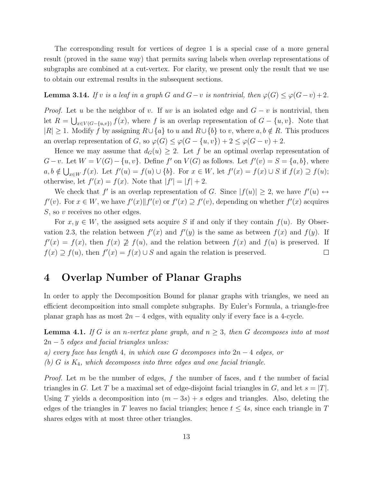The corresponding result for vertices of degree 1 is a special case of a more general result (proved in the same way) that permits saving labels when overlap representations of subgraphs are combined at a cut-vertex. For clarity, we present only the result that we use to obtain our extremal results in the subsequent sections.

### **Lemma 3.14.** *If* v *is a leaf in a graph* G *and*  $G - v$  *is nontrivial, then*  $\varphi(G) \leq \varphi(G - v) + 2$ *.*

*Proof.* Let u be the neighbor of v. If uv is an isolated edge and  $G - v$  is nontrivial, then let  $R = \bigcup_{x \in V(G - \{u, v\})} f(x)$ , where f is an overlap representation of  $G - \{u, v\}$ . Note that  $|R| \geq 1$ . Modify f by assigning  $R \cup \{a\}$  to u and  $R \cup \{b\}$  to v, where  $a, b \notin R$ . This produces an overlap representation of G, so  $\varphi(G) \leq \varphi(G - \{u, v\}) + 2 \leq \varphi(G - v) + 2$ .

Hence we may assume that  $d_G(u) \geq 2$ . Let f be an optimal overlap representation of  $G-v$ . Let  $W=V(G)-\{u,v\}$ . Define  $f'$  on  $V(G)$  as follows. Let  $f'(v)=S=\{a,b\}$ , where  $a, b \notin \bigcup_{x \in W} f(x)$ . Let  $f'(u) = f(u) \cup \{b\}$ . For  $x \in W$ , let  $f'(x) = f(x) \cup S$  if  $f(x) \supseteq f(u)$ ; otherwise, let  $f'(x) = f(x)$ . Note that  $|f'| = |f| + 2$ .

We check that f' is an overlap representation of G. Since  $|f(u)| \geq 2$ , we have  $f'(u) \leftrightarrow$  $f'(v)$ . For  $x \in W$ , we have  $f'(x) || f'(v)$  or  $f'(x) \supseteq f'(v)$ , depending on whether  $f'(x)$  acquires S, so v receives no other edges.

For  $x, y \in W$ , the assigned sets acquire S if and only if they contain  $f(u)$ . By Observation 2.3, the relation between  $f'(x)$  and  $f'(y)$  is the same as between  $f(x)$  and  $f(y)$ . If  $f'(x) = f(x)$ , then  $f(x) \not\supseteq f(u)$ , and the relation between  $f(x)$  and  $f(u)$  is preserved. If  $f(x) \supseteq f(u)$ , then  $f'(x) = f(x) \cup S$  and again the relation is preserved.  $\Box$ 

### 4 Overlap Number of Planar Graphs

In order to apply the Decomposition Bound for planar graphs with triangles, we need an efficient decomposition into small complete subgraphs. By Euler's Formula, a triangle-free planar graph has as most  $2n - 4$  edges, with equality only if every face is a 4-cycle.

**Lemma 4.1.** If G is an n-vertex plane graph, and  $n \geq 3$ , then G decomposes into at most 2n − 5 *edges and facial triangles unless:*

*a) every face has length* 4*, in which case* G *decomposes into* 2n − 4 *edges, or*

*(b)* G *is* K4*, which decomposes into three edges and one facial triangle.*

*Proof.* Let m be the number of edges, f the number of faces, and t the number of facial triangles in G. Let T be a maximal set of edge-disjoint facial triangles in G, and let  $s = |T|$ . Using T yields a decomposition into  $(m - 3s) + s$  edges and triangles. Also, deleting the edges of the triangles in T leaves no facial triangles; hence  $t \leq 4s$ , since each triangle in T shares edges with at most three other triangles.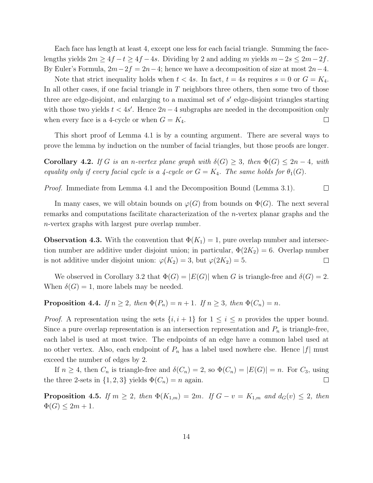Each face has length at least 4, except one less for each facial triangle. Summing the facelengths yields  $2m \geq 4f - t \geq 4f - 4s$ . Dividing by 2 and adding m yields  $m-2s \leq 2m-2f$ . By Euler's Formula,  $2m-2f = 2n-4$ ; hence we have a decomposition of size at most  $2n-4$ .

Note that strict inequality holds when  $t < 4s$ . In fact,  $t = 4s$  requires  $s = 0$  or  $G = K_4$ . In all other cases, if one facial triangle in  $T$  neighbors three others, then some two of those three are edge-disjoint, and enlarging to a maximal set of s' edge-disjoint triangles starting with those two yields  $t < 4s'$ . Hence  $2n - 4$  subgraphs are needed in the decomposition only when every face is a 4-cycle or when  $G = K_4$ .  $\Box$ 

This short proof of Lemma 4.1 is by a counting argument. There are several ways to prove the lemma by induction on the number of facial triangles, but those proofs are longer.

Corollary 4.2. If G is an n-vertex plane graph with  $\delta(G) \geq 3$ , then  $\Phi(G) \leq 2n - 4$ , with *equality only if every facial cycle is a 4-cycle or*  $G = K_4$ *. The same holds for*  $\theta_1(G)$ *.* 

*Proof.* Immediate from Lemma 4.1 and the Decomposition Bound (Lemma 3.1).  $\Box$ 

In many cases, we will obtain bounds on  $\varphi(G)$  from bounds on  $\Phi(G)$ . The next several remarks and computations facilitate characterization of the n-vertex planar graphs and the n-vertex graphs with largest pure overlap number.

**Observation 4.3.** With the convention that  $\Phi(K_1) = 1$ , pure overlap number and intersection number are additive under disjoint union; in particular,  $\Phi(2K_2) = 6$ . Overlap number is not additive under disjoint union:  $\varphi(K_2) = 3$ , but  $\varphi(2K_2) = 5$ .  $\Box$ 

We observed in Corollary 3.2 that  $\Phi(G) = |E(G)|$  when G is triangle-free and  $\delta(G) = 2$ . When  $\delta(G) = 1$ , more labels may be needed.

**Proposition 4.4.** *If*  $n \ge 2$ *, then*  $\Phi(P_n) = n + 1$ *. If*  $n \ge 3$ *, then*  $\Phi(C_n) = n$ *.* 

*Proof.* A representation using the sets  $\{i, i + 1\}$  for  $1 \leq i \leq n$  provides the upper bound. Since a pure overlap representation is an intersection representation and  $P_n$  is triangle-free, each label is used at most twice. The endpoints of an edge have a common label used at no other vertex. Also, each endpoint of  $P_n$  has a label used nowhere else. Hence  $|f|$  must exceed the number of edges by 2.

If  $n \geq 4$ , then  $C_n$  is triangle-free and  $\delta(C_n) = 2$ , so  $\Phi(C_n) = |E(G)| = n$ . For  $C_3$ , using the three 2-sets in  $\{1, 2, 3\}$  yields  $\Phi(C_n) = n$  again.  $\Box$ 

**Proposition 4.5.** *If*  $m \geq 2$ *, then*  $\Phi(K_{1,m}) = 2m$ *. If*  $G - v = K_{1,m}$  *and*  $d_G(v) \leq 2$ *, then*  $\Phi(G) \leq 2m + 1.$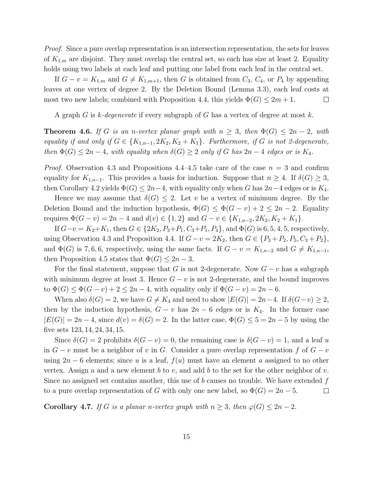*Proof.* Since a pure overlap representation is an intersection representation, the sets for leaves of  $K_{1,m}$  are disjoint. They must overlap the central set, so each has size at least 2. Equality holds using two labels at each leaf and putting one label from each leaf in the central set.

If  $G - v = K_{1,m}$  and  $G \neq K_{1,m+1}$ , then G is obtained from  $C_3$ ,  $C_4$ , or  $P_4$  by appending leaves at one vertex of degree 2. By the Deletion Bound (Lemma 3.3), each leaf costs at most two new labels; combined with Proposition 4.4, this yields  $\Phi(G) \leq 2m + 1$ .  $\Box$ 

A graph G is k*-degenerate* if every subgraph of G has a vertex of degree at most k.

Theorem 4.6. *If* G *is an n-vertex planar graph with*  $n \geq 3$ *, then*  $\Phi(G) \leq 2n - 2$ *, with equality if and only if*  $G \in \{K_{1,n-1}, 2K_2, K_2 + K_1\}$ *. Furthermore, if* G *is not 2-degenerate, then*  $\Phi(G) \leq 2n - 4$ *, with equality when*  $\delta(G) \geq 2$  *only if* G *has*  $2n - 4$  *edges or is*  $K_4$ *.* 

*Proof.* Observation 4.3 and Propositions 4.4–4.5 take care of the case  $n = 3$  and confirm equality for  $K_{1,n-1}$ . This provides a basis for induction. Suppose that  $n \geq 4$ . If  $\delta(G) \geq 3$ , then Corollary 4.2 yields  $\Phi(G) \leq 2n-4$ , with equality only when G has  $2n-4$  edges or is  $K_4$ .

Hence we may assume that  $\delta(G) \leq 2$ . Let v be a vertex of minimum degree. By the Deletion Bound and the induction hypothesis,  $\Phi(G) \leq \Phi(G - v) + 2 \leq 2n - 2$ . Equality requires  $\Phi(G - v) = 2n - 4$  and  $d(v) \in \{1, 2\}$  and  $G - v \in \{K_{1,n-2}, 2K_2, K_2 + K_1\}.$ 

If  $G-v = K_2+K_1$ , then  $G \in \{2K_2, P_3+P_1, C_3+P_1, P_4\}$ , and  $\Phi(G)$  is 6, 5, 4, 5, respectively, using Observation 4.3 and Proposition 4.4. If  $G-v = 2K_2$ , then  $G \in \{P_3 + P_2, P_5, C_3 + P_2\}$ , and  $\Phi(G)$  is 7,6,6, respectively, using the same facts. If  $G - v = K_{1,n-2}$  and  $G \neq K_{1,n-1}$ , then Proposition 4.5 states that  $\Phi(G) \leq 2n-3$ .

For the final statement, suppose that G is not 2-degenerate. Now  $G - v$  has a subgraph with minimum degree at least 3. Hence  $G - v$  is not 2-degenerate, and the bound improves to  $\Phi(G) \leq \Phi(G - v) + 2 \leq 2n - 4$ , with equality only if  $\Phi(G - v) = 2n - 6$ .

When also  $\delta(G) = 2$ , we have  $G \neq K_4$  and need to show  $|E(G)| = 2n-4$ . If  $\delta(G-v) \geq 2$ , then by the induction hypothesis,  $G - v$  has  $2n - 6$  edges or is  $K_4$ . In the former case  $|E(G)| = 2n - 4$ , since  $d(v) = \delta(G) = 2$ . In the latter case,  $\Phi(G) \leq 5 = 2n - 5$  by using the five sets 123, 14, 24, 34, 15.

Since  $\delta(G) = 2$  prohibits  $\delta(G - v) = 0$ , the remaining case is  $\delta(G - v) = 1$ , and a leaf u in  $G - v$  must be a neighbor of v in G. Consider a pure overlap representation f of  $G - v$ using  $2n - 6$  elements; since u is a leaf,  $f(u)$  must have an element a assigned to no other vertex. Assign a and a new element b to v, and add b to the set for the other neighbor of v. Since no assigned set contains another, this use of b causes no trouble. We have extended  $f$ to a pure overlap representation of G with only one new label, so  $\Phi(G) = 2n - 5$ .  $\Box$ 

Corollary 4.7. *If* G *is a planar n*-vertex graph with  $n \geq 3$ , then  $\varphi(G) \leq 2n - 2$ .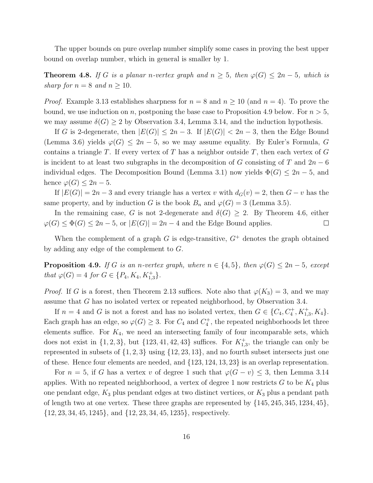The upper bounds on pure overlap number simplify some cases in proving the best upper bound on overlap number, which in general is smaller by 1.

**Theorem 4.8.** If G is a planar n-vertex graph and  $n \geq 5$ , then  $\varphi(G) \leq 2n - 5$ , which is *sharp for*  $n = 8$  *and*  $n \ge 10$ *.* 

*Proof.* Example 3.13 establishes sharpness for  $n = 8$  and  $n \ge 10$  (and  $n = 4$ ). To prove the bound, we use induction on n, postponing the base case to Proposition 4.9 below. For  $n > 5$ , we may assume  $\delta(G) \geq 2$  by Observation 3.4, Lemma 3.14, and the induction hypothesis.

If G is 2-degenerate, then  $|E(G)| \leq 2n-3$ . If  $|E(G)| < 2n-3$ , then the Edge Bound (Lemma 3.6) yields  $\varphi(G) \leq 2n-5$ , so we may assume equality. By Euler's Formula, G contains a triangle T. If every vertex of T has a neighbor outside T, then each vertex of  $G$ is incident to at least two subgraphs in the decomposition of G consisting of T and  $2n-6$ individual edges. The Decomposition Bound (Lemma 3.1) now yields  $\Phi(G) \leq 2n-5$ , and hence  $\varphi(G) \leq 2n-5$ .

If  $|E(G)| = 2n - 3$  and every triangle has a vertex v with  $d_G(v) = 2$ , then  $G - v$  has the same property, and by induction G is the book  $B_n$  and  $\varphi(G) = 3$  (Lemma 3.5).

In the remaining case, G is not 2-degenerate and  $\delta(G) \geq 2$ . By Theorem 4.6, either  $\varphi(G) \leq \Phi(G) \leq 2n-5$ , or  $|E(G)| = 2n-4$  and the Edge Bound applies.  $\Box$ 

When the complement of a graph G is edge-transitive,  $G^+$  denotes the graph obtained by adding any edge of the complement to G.

**Proposition 4.9.** *If* G *is an n-vertex graph, where*  $n \in \{4, 5\}$ *, then*  $\varphi(G) \leq 2n - 5$ *, except that*  $\varphi(G) = 4$  *for*  $G \in \{P_4, K_4, K_{1,3}^+\}.$ 

*Proof.* If G is a forest, then Theorem 2.13 suffices. Note also that  $\varphi(K_3) = 3$ , and we may assume that G has no isolated vertex or repeated neighborhood, by Observation 3.4.

If  $n = 4$  and G is not a forest and has no isolated vertex, then  $G \in \{C_4, C_4^+, K_{1,3}^+, K_4\}.$ Each graph has an edge, so  $\varphi(G) \geq 3$ . For  $C_4$  and  $C_4^+$ , the repeated neighborhoods let three elements suffice. For  $K_4$ , we need an intersecting family of four incomparable sets, which does not exist in  $\{1, 2, 3\}$ , but  $\{123, 41, 42, 43\}$  suffices. For  $K_{1,3}^+$ , the triangle can only be represented in subsets of  $\{1, 2, 3\}$  using  $\{12, 23, 13\}$ , and no fourth subset intersects just one of these. Hence four elements are needed, and {123, 124, 13, 23} is an overlap representation.

For  $n = 5$ , if G has a vertex v of degree 1 such that  $\varphi(G - v) \leq 3$ , then Lemma 3.14 applies. With no repeated neighborhood, a vertex of degree 1 now restricts  $G$  to be  $K_4$  plus one pendant edge,  $K_3$  plus pendant edges at two distinct vertices, or  $K_3$  plus a pendant path of length two at one vertex. These three graphs are represented by  $\{145, 245, 345, 1234, 45\}$ , {12, 23, 34, 45, 1245}, and {12, 23, 34, 45, 1235}, respectively.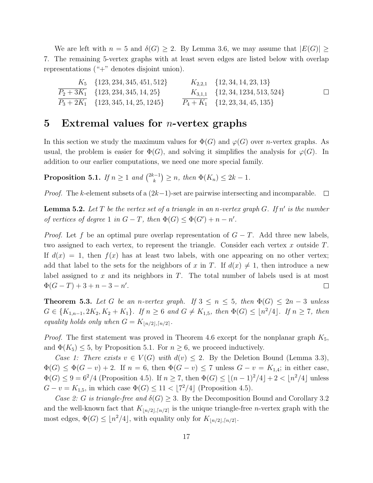We are left with  $n = 5$  and  $\delta(G) \geq 2$ . By Lemma 3.6, we may assume that  $|E(G)| \geq 2$ 7. The remaining 5-vertex graphs with at least seven edges are listed below with overlap representations ("+" denotes disjoint union).

$$
\frac{K_5}{P_2+3K_1} \quad \{123,234,345,451,512\} \qquad K_{2,2,1} \quad \{12,34,14,23,13\} \n\frac{P_2+3K_1}{P_3+2K_1} \quad \{123,345,14,25,1245\} \qquad \frac{K_{3,1,1}}{P_4+K_1} \quad \{12,23,34,45,135\} \qquad \Box
$$

### 5 Extremal values for *n*-vertex graphs

In this section we study the maximum values for  $\Phi(G)$  and  $\varphi(G)$  over *n*-vertex graphs. As usual, the problem is easier for  $\Phi(G)$ , and solving it simplifies the analysis for  $\varphi(G)$ . In addition to our earlier computations, we need one more special family.

Proposition 5.1. *If*  $n \geq 1$  *and*  $\binom{2k-1}{k}$  $\binom{n-1}{k} \geq n$ , then  $\Phi(K_n) \leq 2k - 1$ .

*Proof.* The k-element subsets of a  $(2k-1)$ -set are pairwise intersecting and incomparable.  $\Box$ 

Lemma 5.2. *Let* T *be the vertex set of a triangle in an* n*-vertex graph* G*. If* n ′ *is the number of vertices of degree* 1 *in*  $G - T$ *, then*  $\Phi(G) \leq \Phi(G') + n - n'$ *.* 

*Proof.* Let f be an optimal pure overlap representation of  $G - T$ . Add three new labels, two assigned to each vertex, to represent the triangle. Consider each vertex  $x$  outside  $T$ . If  $d(x) = 1$ , then  $f(x)$  has at least two labels, with one appearing on no other vertex; add that label to the sets for the neighbors of x in T. If  $d(x) \neq 1$ , then introduce a new label assigned to  $x$  and its neighbors in  $T$ . The total number of labels used is at most  $\Phi(G-T) + 3 + n - 3 - n'.$  $\Box$ 

**Theorem 5.3.** Let G be an n-vertex graph. If  $3 \leq n \leq 5$ , then  $\Phi(G) \leq 2n - 3$  unless  $G ∈ {K_{1,n-1}, 2K_2, K_2 + K_1}.$  If  $n ≥ 6$  and  $G ≠ K_{1,5}$ , then  $\Phi(G) ≤ \lfloor n^2/4 \rfloor$ . If  $n ≥ 7$ , then *equality holds only when*  $G = K_{\lfloor n/2 \rfloor, \lceil n/2 \rceil}$ .

*Proof.* The first statement was proved in Theorem 4.6 except for the nonplanar graph  $K_5$ , and  $\Phi(K_5) \leq 5$ , by Proposition 5.1. For  $n \geq 6$ , we proceed inductively.

*Case 1: There exists*  $v \in V(G)$  *with*  $d(v) \leq 2$ . By the Deletion Bound (Lemma 3.3),  $\Phi(G) \leq \Phi(G - v) + 2$ . If  $n = 6$ , then  $\Phi(G - v) \leq 7$  unless  $G - v = K_{1,4}$ ; in either case,  $\Phi(G) \leq 9 = 6^2/4$  (Proposition 4.5). If  $n \geq 7$ , then  $\Phi(G) \leq \lfloor (n-1)^2/4 \rfloor + 2 < \lfloor n^2/4 \rfloor$  unless  $G - v = K_{1,5}$ , in which case  $\Phi(G) \leq 11 < [7^2/4]$  (Proposition 4.5).

*Case 2: G is triangle-free and*  $\delta(G) \geq 3$ . By the Decomposition Bound and Corollary 3.2 and the well-known fact that  $K_{\lfloor n/2 \rfloor, \lceil n/2 \rceil}$  is the unique triangle-free *n*-vertex graph with the most edges,  $\Phi(G) \leq \lfloor n^2/4 \rfloor$ , with equality only for  $K_{\lfloor n/2 \rfloor, \lceil n/2 \rceil}$ .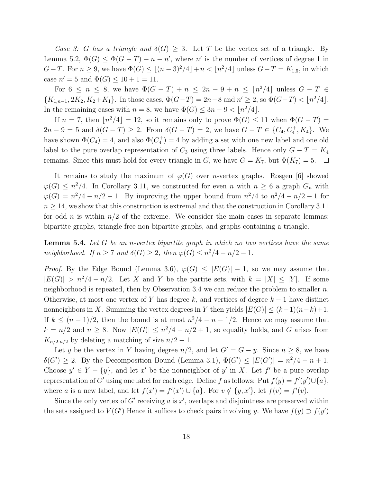*Case 3: G has a triangle and*  $\delta(G) \geq 3$ . Let T be the vertex set of a triangle. By Lemma 5.2,  $\Phi(G) \leq \Phi(G-T) + n - n'$ , where n' is the number of vertices of degree 1 in  $G-T$ . For  $n \geq 9$ , we have  $\Phi(G) \leq \lfloor (n-3)^2/4 \rfloor + n < \lfloor n^2/4 \rfloor$  unless  $G-T = K_{1,5}$ , in which case  $n' = 5$  and  $\Phi(G) \le 10 + 1 = 11$ .

For  $6 \leq n \leq 8$ , we have  $\Phi(G-T) + n \leq 2n-9+n \leq \lfloor n^2/4 \rfloor$  unless  $G-T \in$  ${K_{1,n-1}, 2K_2, K_2+K_1}.$  In those cases,  $\Phi(G-T) = 2n-8$  and  $n' \geq 2$ , so  $\Phi(G-T) < \lfloor n^2/4 \rfloor$ . In the remaining cases with  $n = 8$ , we have  $\Phi(G) \leq 3n - 9 < \lfloor n^2/4 \rfloor$ .

If  $n = 7$ , then  $\lfloor n^2/4 \rfloor = 12$ , so it remains only to prove  $\Phi(G) \leq 11$  when  $\Phi(G - T) =$  $2n-9=5$  and  $\delta(G-T)\geq 2$ . From  $\delta(G-T)=2$ , we have  $G-T\in \{C_4,C_4^+,K_4\}$ . We have shown  $\Phi(C_4) = 4$ , and also  $\Phi(C_4^+) = 4$  by adding a set with one new label and one old label to the pure overlap representation of  $C_3$  using three labels. Hence only  $G - T = K_4$ remains. Since this must hold for every triangle in G, we have  $G = K_7$ , but  $\Phi(K_7) = 5$ .  $\Box$ 

It remains to study the maximum of  $\varphi(G)$  over *n*-vertex graphs. Rosgen [6] showed  $\varphi(G) \leq n^2/4$ . In Corollary 3.11, we constructed for even n with  $n \geq 6$  a graph  $G_n$  with  $\varphi(G) = n^2/4 - n/2 - 1$ . By improving the upper bound from  $n^2/4$  to  $n^2/4 - n/2 - 1$  for  $n \geq 14$ , we show that this construction is extremal and that the construction in Corollary 3.11 for odd n is within  $n/2$  of the extreme. We consider the main cases in separate lemmas: bipartite graphs, triangle-free non-bipartite graphs, and graphs containing a triangle.

Lemma 5.4. *Let* G *be an* n*-vertex bipartite graph in which no two vertices have the same neighborhood.* If  $n \geq 7$  and  $\delta(G) \geq 2$ , then  $\varphi(G) \leq n^2/4 - n/2 - 1$ .

*Proof.* By the Edge Bound (Lemma 3.6),  $\varphi(G) \leq |E(G)| - 1$ , so we may assume that  $|E(G)| > n^2/4 - n/2$ . Let X and Y be the partite sets, with  $k = |X| \leq |Y|$ . If some neighborhood is repeated, then by Observation 3.4 we can reduce the problem to smaller  $n$ . Otherwise, at most one vertex of Y has degree k, and vertices of degree  $k-1$  have distinct nonneighbors in X. Summing the vertex degrees in Y then yields  $|E(G)| \leq (k-1)(n-k)+1$ . If  $k \leq (n-1)/2$ , then the bound is at most  $n^2/4 - n - 1/2$ . Hence we may assume that  $k = n/2$  and  $n \geq 8$ . Now  $|E(G)| \leq n^2/4 - n/2 + 1$ , so equality holds, and G arises from  $K_{n/2,n/2}$  by deleting a matching of size  $n/2-1$ .

Let y be the vertex in Y having degree  $n/2$ , and let  $G' = G - y$ . Since  $n \geq 8$ , we have  $\delta(G') \geq 2$ . By the Decomposition Bound (Lemma 3.1),  $\Phi(G') \leq |E(G')| = n^2/4 - n + 1$ . Choose  $y' \in Y - \{y\}$ , and let x' be the nonneighbor of y' in X. Let f' be a pure overlap representation of G' using one label for each edge. Define f as follows: Put  $f(y) = f'(y') \cup \{a\}$ , where a is a new label, and let  $f(x') = f'(x') \cup \{a\}$ . For  $v \notin \{y, x'\}$ , let  $f(v) = f'(v)$ .

Since the only vertex of  $G'$  receiving a is  $x'$ , overlaps and disjointness are preserved within the sets assigned to  $V(G')$  Hence it suffices to check pairs involving y. We have  $f(y) \supset f(y')$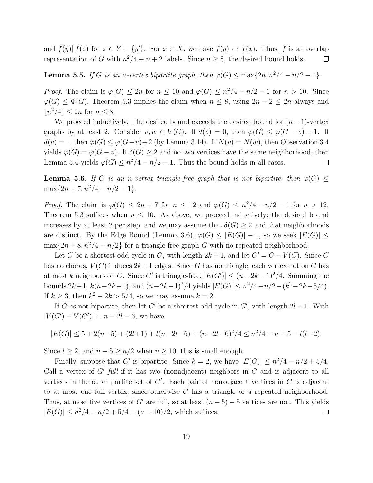and  $f(y)$   $|| f(z)$  for  $z \in Y - \{y'\}$ . For  $x \in X$ , we have  $f(y) \leftrightarrow f(x)$ . Thus, f is an overlap representation of G with  $n^2/4 - n + 2$  labels. Since  $n \geq 8$ , the desired bound holds.  $\Box$ 

### Lemma 5.5. *If* G *is an n-vertex bipartite graph, then*  $\varphi(G) \le \max\{2n, n^2/4 - n/2 - 1\}$ *.*

*Proof.* The claim is  $\varphi(G) \leq 2n$  for  $n \leq 10$  and  $\varphi(G) \leq n^2/4 - n/2 - 1$  for  $n > 10$ . Since  $\varphi(G) \leq \Phi(G)$ , Theorem 5.3 implies the claim when  $n \leq 8$ , using  $2n - 2 \leq 2n$  always and  $\lfloor n^2/4 \rfloor \leq 2n$  for  $n \leq 8$ .

We proceed inductively. The desired bound exceeds the desired bound for  $(n-1)$ -vertex graphs by at least 2. Consider  $v, w \in V(G)$ . If  $d(v) = 0$ , then  $\varphi(G) \leq \varphi(G - v) + 1$ . If  $d(v) = 1$ , then  $\varphi(G) \leq \varphi(G-v) + 2$  (by Lemma 3.14). If  $N(v) = N(w)$ , then Observation 3.4 yields  $\varphi(G) = \varphi(G - v)$ . If  $\delta(G) \geq 2$  and no two vertices have the same neighborhood, then Lemma 5.4 yields  $\varphi(G) \leq n^2/4 - n/2 - 1$ . Thus the bound holds in all cases.  $\Box$ 

**Lemma 5.6.** If G is an n-vertex triangle-free graph that is not bipartite, then  $\varphi(G)$  <  $\max\{2n + 7, n^2/4 - n/2 - 1\}.$ 

*Proof.* The claim is  $\varphi(G) \leq 2n + 7$  for  $n \leq 12$  and  $\varphi(G) \leq n^2/4 - n/2 - 1$  for  $n > 12$ . Theorem 5.3 suffices when  $n \leq 10$ . As above, we proceed inductively; the desired bound increases by at least 2 per step, and we may assume that  $\delta(G) \geq 2$  and that neighborhoods are distinct. By the Edge Bound (Lemma 3.6),  $\varphi(G) \leq |E(G)| - 1$ , so we seek  $|E(G)| \leq$  $\max\{2n+8,n^2/4-n/2\}$  for a triangle-free graph G with no repeated neighborhood.

Let C be a shortest odd cycle in G, with length  $2k+1$ , and let  $G' = G - V(C)$ . Since C has no chords,  $V(C)$  induces  $2k+1$  edges. Since G has no triangle, each vertex not on C has at most k neighbors on C. Since G' is triangle-free,  $|E(G')| \leq (n-2k-1)^2/4$ . Summing the bounds  $2k+1$ ,  $k(n-2k-1)$ , and  $(n-2k-1)^2/4$  yields  $|E(G)| \leq n^2/4-n/2-(k^2-2k-5/4)$ . If  $k \geq 3$ , then  $k^2 - 2k > 5/4$ , so we may assume  $k = 2$ .

If G' is not bipartite, then let C' be a shortest odd cycle in G', with length  $2l + 1$ . With  $|V(G') - V(C')| = n - 2l - 6$ , we have

$$
|E(G)| \le 5 + 2(n-5) + (2l+1) + l(n-2l-6) + (n-2l-6)^2/4 \le n^2/4 - n + 5 - l(l-2).
$$

Since  $l \geq 2$ , and  $n - 5 \geq n/2$  when  $n \geq 10$ , this is small enough.

Finally, suppose that G' is bipartite. Since  $k = 2$ , we have  $|E(G)| \leq n^2/4 - n/2 + 5/4$ . Call a vertex of  $G'$  full if it has two (nonadjacent) neighbors in  $C$  and is adjacent to all vertices in the other partite set of  $G'$ . Each pair of nonadjacent vertices in  $C$  is adjacent to at most one full vertex, since otherwise G has a triangle or a repeated neighborhood. Thus, at most five vertices of G' are full, so at least  $(n-5)-5$  vertices are not. This yields  $|E(G)| \leq n^2/4 - n/2 + 5/4 - (n - 10)/2$ , which suffices.  $\Box$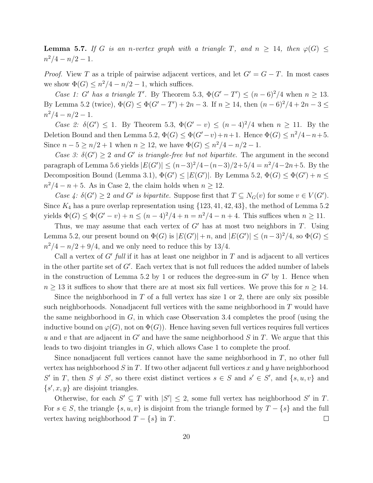**Lemma 5.7.** If G is an n-vertex graph with a triangle T, and  $n \geq 14$ , then  $\varphi(G) \leq$  $n^2/4 - n/2 - 1$ .

*Proof.* View T as a triple of pairwise adjacent vertices, and let  $G' = G - T$ . In most cases we show  $\Phi(G) \leq n^2/4 - n/2 - 1$ , which suffices.

*Case 1:* G' has a triangle T'. By Theorem 5.3,  $\Phi(G'-T') \leq (n-6)^2/4$  when  $n \geq 13$ . By Lemma 5.2 (twice),  $\Phi(G) \leq \Phi(G'-T') + 2n-3$ . If  $n \geq 14$ , then  $(n-6)^2/4 + 2n-3 \leq$  $n^2/4 - n/2 - 1.$ 

*Case 2:*  $\delta(G') \leq 1$ . By Theorem 5.3,  $\Phi(G'-v) \leq (n-4)^2/4$  when  $n \geq 11$ . By the Deletion Bound and then Lemma 5.2,  $\Phi(G) \leq \Phi(G'-v) + n+1$ . Hence  $\Phi(G) \leq n^2/4 - n+5$ . Since  $n-5 \ge n/2 + 1$  when  $n \ge 12$ , we have  $\Phi(G) \le n^2/4 - n/2 - 1$ .

*Case 3:*  $\delta(G') \geq 2$  *and* G' *is triangle-free but not bipartite.* The argument in the second paragraph of Lemma 5.6 yields  $|E(G')| \le (n-3)^2/4 - (n-3)/2 + 5/4 = n^2/4 - 2n + 5$ . By the Decomposition Bound (Lemma 3.1),  $\Phi(G') \leq |E(G')|$ . By Lemma 5.2,  $\Phi(G) \leq \Phi(G') + n \leq$  $n^2/4 - n + 5$ . As in Case 2, the claim holds when  $n \ge 12$ .

*Case 4:*  $\delta(G') \geq 2$  *and G' is bipartite.* Suppose first that  $T \subseteq N_G(v)$  for some  $v \in V(G')$ . Since  $K_4$  has a pure overlap representation using  $\{123, 41, 42, 43\}$ , the method of Lemma 5.2 yields  $\Phi(G) \le \Phi(G'-v) + n \le (n-4)^2/4 + n = n^2/4 - n + 4$ . This suffices when  $n \ge 11$ .

Thus, we may assume that each vertex of  $G'$  has at most two neighbors in  $T$ . Using Lemma 5.2, our present bound on  $\Phi(G)$  is  $|E(G')| + n$ , and  $|E(G')| \leq (n-3)^2/4$ , so  $\Phi(G) \leq$  $n^2/4 - n/2 + 9/4$ , and we only need to reduce this by 13/4.

Call a vertex of  $G'$  full if it has at least one neighbor in  $T$  and is adjacent to all vertices in the other partite set of  $G'$ . Each vertex that is not full reduces the added number of labels in the construction of Lemma 5.2 by 1 or reduces the degree-sum in  $G'$  by 1. Hence when  $n \geq 13$  it suffices to show that there are at most six full vertices. We prove this for  $n \geq 14$ .

Since the neighborhood in T of a full vertex has size 1 or 2, there are only six possible such neighborhoods. Nonadjacent full vertices with the same neighborhood in  $T$  would have the same neighborhood in  $G$ , in which case Observation 3.4 completes the proof (using the inductive bound on  $\varphi(G)$ , not on  $\Phi(G)$ ). Hence having seven full vertices requires full vertices u and v that are adjacent in  $G'$  and have the same neighborhood S in T. We argue that this leads to two disjoint triangles in G, which allows Case 1 to complete the proof.

Since nonadjacent full vertices cannot have the same neighborhood in T, no other full vertex has neighborhood  $S$  in  $T$ . If two other adjacent full vertices  $x$  and  $y$  have neighborhood S' in T, then  $S \neq S'$ , so there exist distinct vertices  $s \in S$  and  $s' \in S'$ , and  $\{s, u, v\}$  and  $\{s', x, y\}$  are disjoint triangles.

Otherwise, for each  $S' \subseteq T$  with  $|S'| \leq 2$ , some full vertex has neighborhood  $S'$  in T. For  $s \in S$ , the triangle  $\{s, u, v\}$  is disjoint from the triangle formed by  $T - \{s\}$  and the full vertex having neighborhood  $T - \{s\}$  in T.  $\Box$